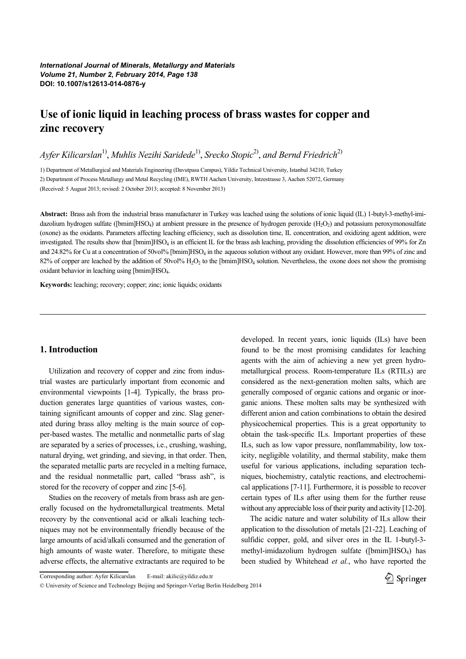*International Journal of Minerals***,** *Metallurgy and Materials Volume 21***,** *Number 2***,** *February 2014***,** *Page 138* **DOI: 10.1007/s12613-014-0876-y**

# **Use of ionic liquid in leaching process of brass wastes for copper and zinc recovery**

*Ayfer Kilicarslan*1) , *Muhlis Nezihi Saridede*1) , *Srecko Stopic*2) , *and Bernd Friedrich*2)

1) Department of Metallurgical and Materials Engineering (Davutpasa Campus), Yildiz Technical University, Istanbul 34210, Turkey 2) Department of Process Metallurgy and Metal Recycling (IME), RWTH Aachen University, Intzestrasse 3, Aachen 52072, Germany (Received: 5 August 2013; revised: 2 October 2013; accepted: 8 November 2013)

**Abstract:** Brass ash from the industrial brass manufacturer in Turkey was leached using the solutions of ionic liquid (IL) 1-butyl-3-methyl-imidazolium hydrogen sulfate ([bmim]HSO<sub>4</sub>) at ambient pressure in the presence of hydrogen peroxide (H<sub>2</sub>O<sub>2</sub>) and potassium peroxymonosulfate (oxone) as the oxidants. Parameters affecting leaching efficiency, such as dissolution time, IL concentration, and oxidizing agent addition, were investigated. The results show that [bmim]HSO4 is an efficient IL for the brass ash leaching, providing the dissolution efficiencies of 99% for Zn and 24.82% for Cu at a concentration of 50vol% [bmim]HSO<sub>4</sub> in the aqueous solution without any oxidant. However, more than 99% of zinc and 82% of copper are leached by the addition of  $50v0\%$  H<sub>2</sub>O<sub>2</sub> to the [bmim]HSO<sub>4</sub> solution. Nevertheless, the oxone does not show the promising oxidant behavior in leaching using [bmim]HSO4.

**Keywords:** leaching; recovery; copper; zinc; ionic liquids; oxidants

# **1. Introduction**

Utilization and recovery of copper and zinc from industrial wastes are particularly important from economic and environmental viewpoints [1-4]. Typically, the brass production generates large quantities of various wastes, containing significant amounts of copper and zinc. Slag generated during brass alloy melting is the main source of copper-based wastes. The metallic and nonmetallic parts of slag are separated by a series of processes, i.e., crushing, washing, natural drying, wet grinding, and sieving, in that order. Then, the separated metallic parts are recycled in a melting furnace, and the residual nonmetallic part, called "brass ash", is stored for the recovery of copper and zinc [5-6].

Studies on the recovery of metals from brass ash are generally focused on the hydrometallurgical treatments. Metal recovery by the conventional acid or alkali leaching techniques may not be environmentally friendly because of the large amounts of acid/alkali consumed and the generation of high amounts of waste water. Therefore, to mitigate these adverse effects, the alternative extractants are required to be

developed. In recent years, ionic liquids (ILs) have been found to be the most promising candidates for leaching agents with the aim of achieving a new yet green hydrometallurgical process. Room-temperature ILs (RTILs) are considered as the next-generation molten salts, which are generally composed of organic cations and organic or inorganic anions. These molten salts may be synthesized with different anion and cation combinations to obtain the desired physicochemical properties. This is a great opportunity to obtain the task-specific ILs. Important properties of these ILs, such as low vapor pressure, nonflammability, low toxicity, negligible volatility, and thermal stability, make them useful for various applications, including separation techniques, biochemistry, catalytic reactions, and electrochemical applications [7-11]. Furthermore, it is possible to recover certain types of ILs after using them for the further reuse without any appreciable loss of their purity and activity [12-20].

The acidic nature and water solubility of ILs allow their application to the dissolution of metals [21-22]. Leaching of sulfidic copper, gold, and silver ores in the IL 1-butyl-3 methyl-imidazolium hydrogen sulfate ([bmim] $HSO<sub>4</sub>$ ) has been studied by Whitehead *et al.*, who have reported the



Corresponding author: Ayfer Kilicarslan E-mail: akilic@yildiz.edu.tr

<sup>©</sup> University of Science and Technology Beijing and Springer-Verlag Berlin Heidelberg 2014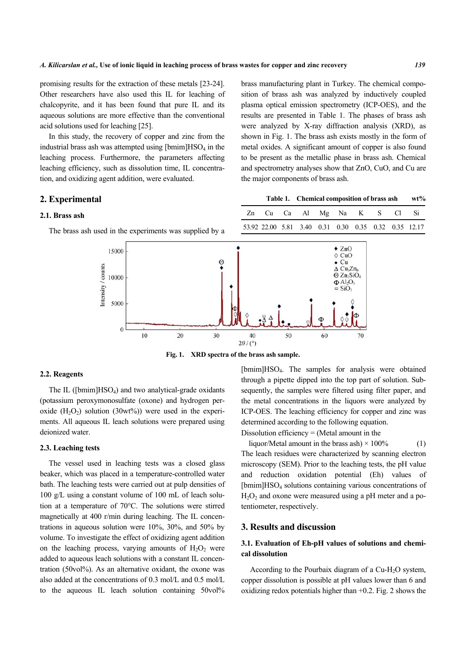promising results for the extraction of these metals [23-24]. Other researchers have also used this IL for leaching of chalcopyrite, and it has been found that pure IL and its aqueous solutions are more effective than the conventional acid solutions used for leaching [25].

In this study, the recovery of copper and zinc from the industrial brass ash was attempted using  $[bmin]$ HSO<sub>4</sub> in the leaching process. Furthermore, the parameters affecting leaching efficiency, such as dissolution time, IL concentration, and oxidizing agent addition, were evaluated.

# **2. Experimental**

#### **2.1. Brass ash**

The brass ash used in the experiments was supplied by a

were analyzed by X-ray diffraction analysis (XRD), as shown in Fig. 1. The brass ash exists mostly in the form of metal oxides. A significant amount of copper is also found to be present as the metallic phase in brass ash. Chemical and spectrometry analyses show that ZnO, CuO, and Cu are the major components of brass ash. **Table 1. Chemical composition of brass ash wt%** 

> Zn Cu Ca Al Mg Na K S Cl Si 53.92 22.00 5.81 3.40 0.31 0.30 0.35 0.32 0.35 12.17

brass manufacturing plant in Turkey. The chemical composition of brass ash was analyzed by inductively coupled plasma optical emission spectrometry (ICP-OES), and the



**Fig. 1. XRD spectra of the brass ash sample.** 

# **2.2. Reagents**

The IL ( $[bmin]$ HSO<sub>4</sub>) and two analytical-grade oxidants (potassium peroxymonosulfate (oxone) and hydrogen peroxide  $(H<sub>2</sub>O<sub>2</sub>)$  solution  $(30wt\%)$  were used in the experiments. All aqueous IL leach solutions were prepared using deionized water.

#### **2.3. Leaching tests**

The vessel used in leaching tests was a closed glass beaker, which was placed in a temperature-controlled water bath. The leaching tests were carried out at pulp densities of 100 g/L using a constant volume of 100 mL of leach solution at a temperature of 70°C. The solutions were stirred magnetically at 400 r/min during leaching. The IL concentrations in aqueous solution were 10%, 30%, and 50% by volume. To investigate the effect of oxidizing agent addition on the leaching process, varying amounts of  $H_2O_2$  were added to aqueous leach solutions with a constant IL concentration (50vol%). As an alternative oxidant, the oxone was also added at the concentrations of 0.3 mol/L and 0.5 mol/L to the aqueous IL leach solution containing 50vol<sup>%</sup> [bmim]HSO4. The samples for analysis were obtained through a pipette dipped into the top part of solution. Subsequently, the samples were filtered using filter paper, and the metal concentrations in the liquors were analyzed by ICP-OES. The leaching efficiency for copper and zinc was determined according to the following equation.

Dissolution efficiency  $=$  (Metal amount in the

liquor/Metal amount in the brass ash)  $\times$  100% (1) The leach residues were characterized by scanning electron microscopy (SEM). Prior to the leaching tests, the pH value and reduction oxidation potential (Eh) values of [bmim]HSO4 solutions containing various concentrations of  $H<sub>2</sub>O<sub>2</sub>$  and oxone were measured using a pH meter and a potentiometer, respectively.

# **3. Results and discussion**

# **3.1. Evaluation of Eh-pH values of solutions and chemical dissolution**

According to the Pourbaix diagram of a Cu-H<sub>2</sub>O system, copper dissolution is possible at pH values lower than 6 and oxidizing redox potentials higher than  $+0.2$ . Fig. 2 shows the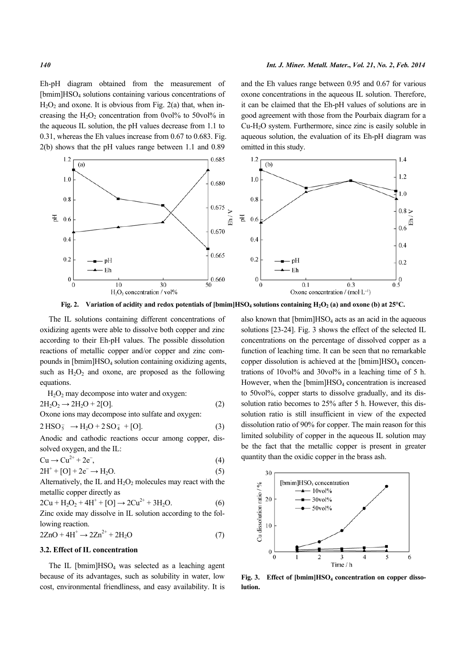Eh-pH diagram obtained from the measurement of [bmim]HSO<sub>4</sub> solutions containing various concentrations of  $H<sub>2</sub>O<sub>2</sub>$  and oxone. It is obvious from Fig. 2(a) that, when increasing the  $H_2O_2$  concentration from 0vol% to 50vol% in the aqueous IL solution, the pH values decrease from 1.1 to 0.31, whereas the Eh values increase from 0.67 to 0.683. Fig. 2(b) shows that the pH values range between 1.1 and 0.89

and the Eh values range between 0.95 and 0.67 for various oxone concentrations in the aqueous IL solution. Therefore, it can be claimed that the Eh-pH values of solutions are in good agreement with those from the Pourbaix diagram for a Cu-H2O system. Furthermore, since zinc is easily soluble in aqueous solution, the evaluation of its Eh-pH diagram was omitted in this study.



**Fig. 2. Variation of acidity and redox potentials of [bmim]HSO4 solutions containing H2O2 (a) and oxone (b) at 25°C.** 

The IL solutions containing different concentrations of oxidizing agents were able to dissolve both copper and zinc according to their Eh-pH values. The possible dissolution reactions of metallic copper and/or copper and zinc compounds in [bmim]HSO4 solution containing oxidizing agents, such as  $H_2O_2$  and oxone, are proposed as the following equations.

 $H<sub>2</sub>O<sub>2</sub>$  may decompose into water and oxygen:

$$
2H_2O_2 \rightarrow 2H_2O + 2[O]. \tag{2}
$$

Oxone ions may decompose into sulfate and oxygen:

$$
2 \text{ HSO}_5^- \to \text{H}_2\text{O} + 2 \text{ SO}_4^- + [\text{O}]. \tag{3}
$$

Anodic and cathodic reactions occur among copper, dissolved oxygen, and the IL:

$$
Cu \rightarrow Cu^{2+} + 2e^-, \tag{4}
$$

$$
2H^+ + [O] + 2e^- \rightarrow H_2O.
$$
 (5)

Alternatively, the IL and  $H_2O_2$  molecules may react with the metallic copper directly as

$$
2Cu + H2O2 + 4H+ + [O] \rightarrow 2Cu2+ + 3H2O.
$$
 (6)

Zinc oxide may dissolve in IL solution according to the following reaction.

$$
2ZnO + 4H^+ \rightarrow 2Zn^{2+} + 2H_2O \tag{7}
$$

#### **3.2. Effect of IL concentration**

The IL  $[bmin]$ HSO<sub>4</sub> was selected as a leaching agent because of its advantages, such as solubility in water, low cost, environmental friendliness, and easy availability. It is also known that  $[bmin]$ HSO<sub>4</sub> acts as an acid in the aqueous solutions [23-24]. Fig. 3 shows the effect of the selected IL concentrations on the percentage of dissolved copper as a function of leaching time. It can be seen that no remarkable copper dissolution is achieved at the  $[bmin]$ HSO<sub>4</sub> concentrations of 10vol% and 30vol% in a leaching time of 5 h. However, when the  $[bmin]$ HSO<sub>4</sub> concentration is increased to 50vol%, copper starts to dissolve gradually, and its dissolution ratio becomes to 25% after 5 h. However, this dissolution ratio is still insufficient in view of the expected dissolution ratio of 90% for copper. The main reason for this limited solubility of copper in the aqueous IL solution may be the fact that the metallic copper is present in greater quantity than the oxidic copper in the brass ash.



**Fig. 3. Effect of [bmim]HSO<sup>4</sup> concentration on copper dissolution.**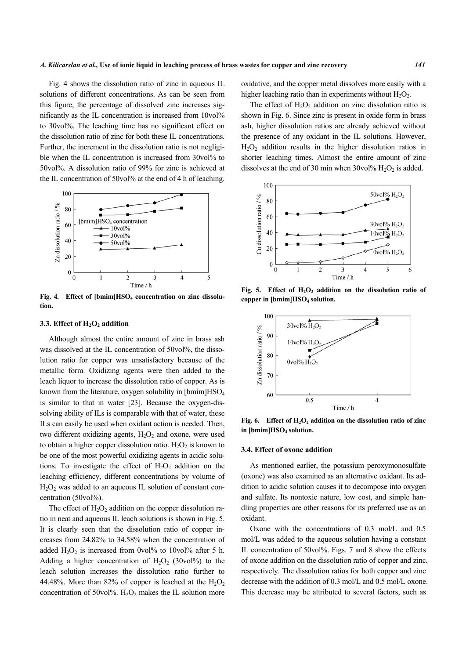Fig. 4 shows the dissolution ratio of zinc in aqueous IL solutions of different concentrations. As can be seen from this figure, the percentage of dissolved zinc increases significantly as the IL concentration is increased from 10vol% to 30vol%. The leaching time has no significant effect on the dissolution ratio of zinc for both these IL concentrations. Further, the increment in the dissolution ratio is not negligible when the IL concentration is increased from 30vol% to 50vol%. A dissolution ratio of 99% for zinc is achieved at the IL concentration of 50vol% at the end of 4 h of leaching.



**Fig. 4. Effect of [bmim]HSO4 concentration on zinc dissolution.** 

## **3.3. Effect of H2O2 addition**

Although almost the entire amount of zinc in brass ash was dissolved at the IL concentration of 50vol%, the dissolution ratio for copper was unsatisfactory because of the metallic form. Oxidizing agents were then added to the leach liquor to increase the dissolution ratio of copper. As is known from the literature, oxygen solubility in [bmim]HSO<sub>4</sub> is similar to that in water [23]. Because the oxygen-dissolving ability of ILs is comparable with that of water, these ILs can easily be used when oxidant action is needed. Then, two different oxidizing agents,  $H_2O_2$  and oxone, were used to obtain a higher copper dissolution ratio.  $H_2O_2$  is known to be one of the most powerful oxidizing agents in acidic solutions. To investigate the effect of  $H_2O_2$  addition on the leaching efficiency, different concentrations by volume of  $H_2O_2$  was added to an aqueous IL solution of constant concentration (50vol%).

The effect of  $H_2O_2$  addition on the copper dissolution ratio in neat and aqueous IL leach solutions is shown in Fig. 5. It is clearly seen that the dissolution ratio of copper increases from 24.82% to 34.58% when the concentration of added  $H_2O_2$  is increased from 0vol% to 10vol% after 5 h. Adding a higher concentration of  $H_2O_2$  (30vol%) to the leach solution increases the dissolution ratio further to 44.48%. More than 82% of copper is leached at the  $H_2O_2$ concentration of 50vol%.  $H_2O_2$  makes the IL solution more

oxidative, and the copper metal dissolves more easily with a higher leaching ratio than in experiments without  $H_2O_2$ .

The effect of  $H_2O_2$  addition on zinc dissolution ratio is shown in Fig. 6. Since zinc is present in oxide form in brass ash, higher dissolution ratios are already achieved without the presence of any oxidant in the IL solutions. However,  $H_2O_2$  addition results in the higher dissolution ratios in shorter leaching times. Almost the entire amount of zinc dissolves at the end of 30 min when  $30\text{vol}\% \text{ H}_2\text{O}_2$  is added.



**copper in [bmim]HSO4 solution.**  100  $30$ vol% $H<sub>2</sub>O$ 90

**Fig. 5. Effect of H2O2 addition on the dissolution ratio of** 



**Fig. 6.** Effect of  $H_2O_2$  addition on the dissolution ratio of zinc **in [bmim]HSO4 solution.** 

#### **3.4. Effect of oxone addition**

As mentioned earlier, the potassium peroxymonosulfate (oxone) was also examined as an alternative oxidant. Its addition to acidic solution causes it to decompose into oxygen and sulfate. Its nontoxic nature, low cost, and simple handling properties are other reasons for its preferred use as an oxidant.

Oxone with the concentrations of 0.3 mol/L and 0.5 mol/L was added to the aqueous solution having a constant IL concentration of 50vol%. Figs. 7 and 8 show the effects of oxone addition on the dissolution ratio of copper and zinc, respectively. The dissolution ratios for both copper and zinc decrease with the addition of 0.3 mol/L and 0.5 mol/L oxone. This decrease may be attributed to several factors, such as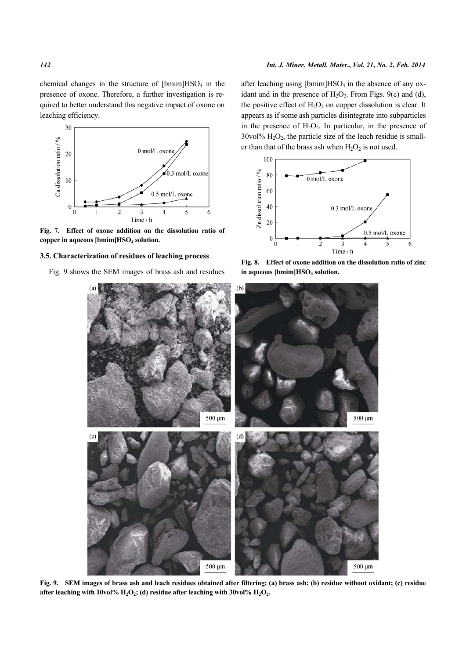

**Fig. 7. Effect of oxone addition on the dissolution ratio of copper in aqueous [bmim]HSO4 solution.** 

#### **3.5. Characterization of residues of leaching process**

Fig. 9 shows the SEM images of brass ash and residues

after leaching using  $[bmin]$ HSO<sub>4</sub> in the absence of any oxidant and in the presence of  $H_2O_2$ . From Figs. 9(c) and (d), the positive effect of  $H_2O_2$  on copper dissolution is clear. It appears as if some ash particles disintegrate into subparticles in the presence of  $H_2O_2$ . In particular, in the presence of  $30\text{vol}\% \text{ H}_2\text{O}_2$ , the particle size of the leach residue is smaller than that of the brass ash when  $H_2O_2$  is not used.







**Fig. 9. SEM images of brass ash and leach residues obtained after filtering: (a) brass ash; (b) residue without oxidant; (c) residue after leaching with 10vol% H2O2; (d) residue after leaching with 30vol% H2O2.**